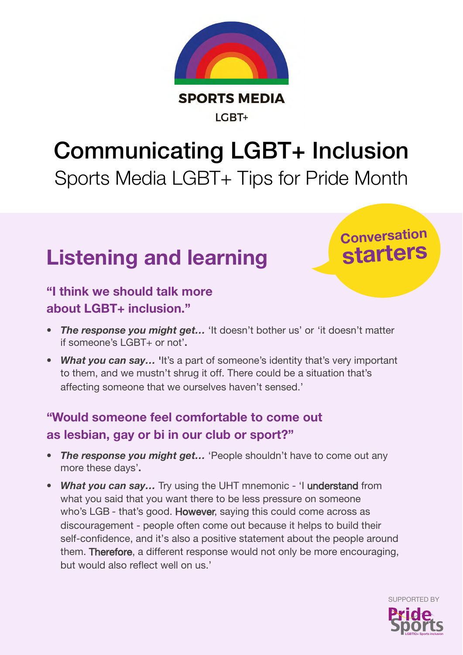

# Communicating LGBT+ Inclusion Sports Media LGBT+ Tips for Pride Month

## Listening and learning

### Conversation starters

#### "I think we should talk more about LGBT+ inclusion."

- *The response you might get...* 'It doesn't bother us' or 'it doesn't matter if someone's LGBT+ or not'.
- *What you can say...* 'It's a part of someone's identity that's very important to them, and we mustn't shrug it off. There could be a situation that's affecting someone that we ourselves haven't sensed.'

#### "Would someone feel comfortable to come out as lesbian, gay or bi in our club or sport?"

- *The response you might get…* 'People shouldn't have to come out any more these days'.
- What you can say... Try using the UHT mnemonic 'I understand from what you said that you want there to be less pressure on someone who's LGB - that's good. However, saying this could come across as discouragement - people often come out because it helps to build their self-confidence, and it's also a positive statement about the people around them. Therefore, a different response would not only be more encouraging, but would also reflect well on us.'

LGBTIQ+ Sports inclusion

SUPPORTED BY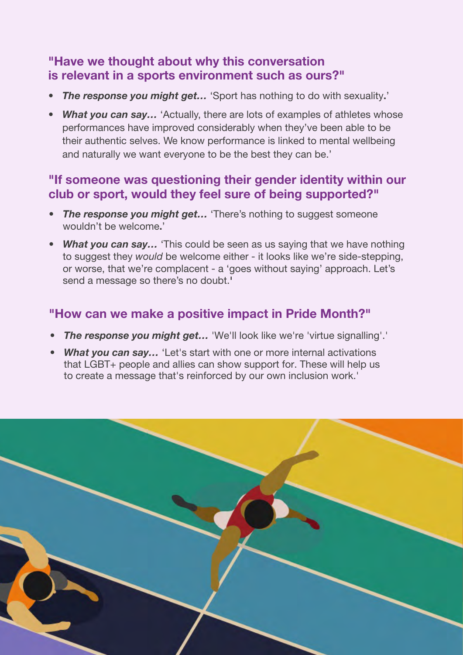#### "Have we thought about why this conversation is relevant in a sports environment such as ours?"

- *The response you might get…* 'Sport has nothing to do with sexuality.'
- *What you can say...* 'Actually, there are lots of examples of athletes whose performances have improved considerably when they've been able to be their authentic selves. We know performance is linked to mental wellbeing and naturally we want everyone to be the best they can be.'

#### "If someone was questioning their gender identity within our club or sport, would they feel sure of being supported?"

- *The response you might get…* 'There's nothing to suggest someone wouldn't be welcome.'
- *What you can say…* 'This could be seen as us saying that we have nothing to suggest they would be welcome either - it looks like we're side-stepping, or worse, that we're complacent - a 'goes without saying' approach. Let's send a message so there's no doubt.'

#### "How can we make a positive impact in Pride Month?"

- *The response you might get…* 'We'll look like we're 'virtue signalling'.'
- *What you can say…* 'Let's start with one or more internal activations that LGBT+ people and allies can show support for. These will help us to create a message that's reinforced by our own inclusion work.'

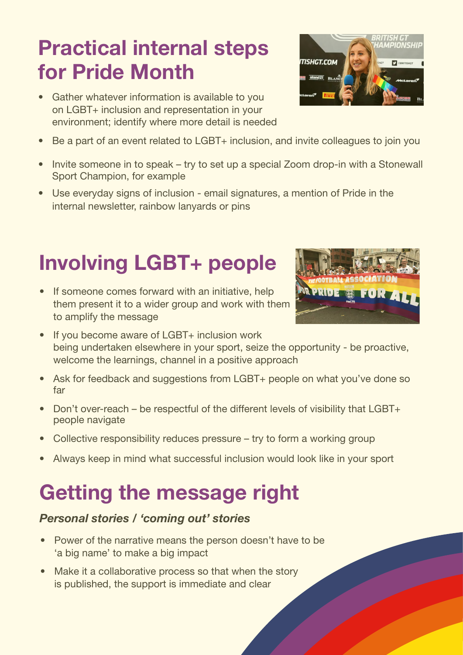# Practical internal steps for Pride Month

- Gather whatever information is available to you on LGBT+ inclusion and representation in your environment; identify where more detail is needed
- Be a part of an event related to LGBT+ inclusion, and invite colleagues to join you
- Invite someone in to speak try to set up a special Zoom drop-in with a Stonewall Sport Champion, for example
- Use everyday signs of inclusion email signatures, a mention of Pride in the internal newsletter, rainbow lanyards or pins

# Involving LGBT+ people

- If someone comes forward with an initiative, help them present it to a wider group and work with them to amplify the message
- If you become aware of LGBT+ inclusion work being undertaken elsewhere in your sport, seize the opportunity - be proactive, welcome the learnings, channel in a positive approach
- Ask for feedback and suggestions from LGBT+ people on what you've done so far
- Don't over-reach be respectful of the different levels of visibility that LGBT+ people navigate
- Collective responsibility reduces pressure try to form a working group
- Always keep in mind what successful inclusion would look like in your sport

### Getting the message right

#### *Personal stories / 'coming out' stories*

- Power of the narrative means the person doesn't have to be 'a big name' to make a big impact
- Make it a collaborative process so that when the story is published, the support is immediate and clear